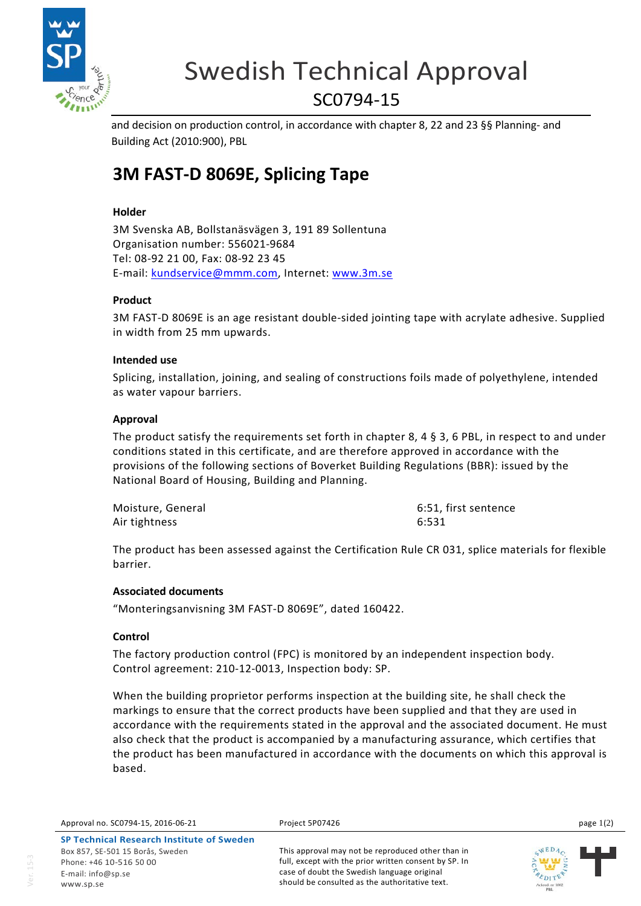

# Swedish Technical Approval SC0794-15

and decision on production control, in accordance with chapter 8, 22 and 23 §§ Planning- and Building Act (2010:900), PBL

# **3M FAST-D 8069E, Splicing Tape**

# **Holder**

3M Svenska AB, Bollstanäsvägen 3, 191 89 Sollentuna Organisation number: 556021-9684 Tel: 08-92 21 00, Fax: 08-92 23 45 E-mail: [kundservice@mmm.com,](mailto:kundservice@mmm.com) Internet: [www.3m.se](http://www.3m.se/)

# **Product**

3M FAST-D 8069E is an age resistant double-sided jointing tape with acrylate adhesive. Supplied in width from 25 mm upwards.

### **Intended use**

Splicing, installation, joining, and sealing of constructions foils made of polyethylene, intended as water vapour barriers.

# **Approval**

The product satisfy the requirements set forth in chapter 8, 4 § 3, 6 PBL, in respect to and under conditions stated in this certificate, and are therefore approved in accordance with the provisions of the following sections of Boverket Building Regulations (BBR): issued by the National Board of Housing, Building and Planning.

Moisture, General 6:51, first sentence Air tightness 6:531

The product has been assessed against the Certification Rule CR 031, splice materials for flexible barrier.

### **Associated documents**

"Monteringsanvisning 3M FAST-D 8069E", dated 160422.

### **Control**

The factory production control (FPC) is monitored by an independent inspection body. Control agreement: 210-12-0013, Inspection body: SP.

When the building proprietor performs inspection at the building site, he shall check the markings to ensure that the correct products have been supplied and that they are used in accordance with the requirements stated in the approval and the associated document. He must also check that the product is accompanied by a manufacturing assurance, which certifies that the product has been manufactured in accordance with the documents on which this approval is based.

This approval may not be reproduced other than in full, except with the prior written consent by SP. In case of doubt the Swedish language original should be consulted as the authoritative text.